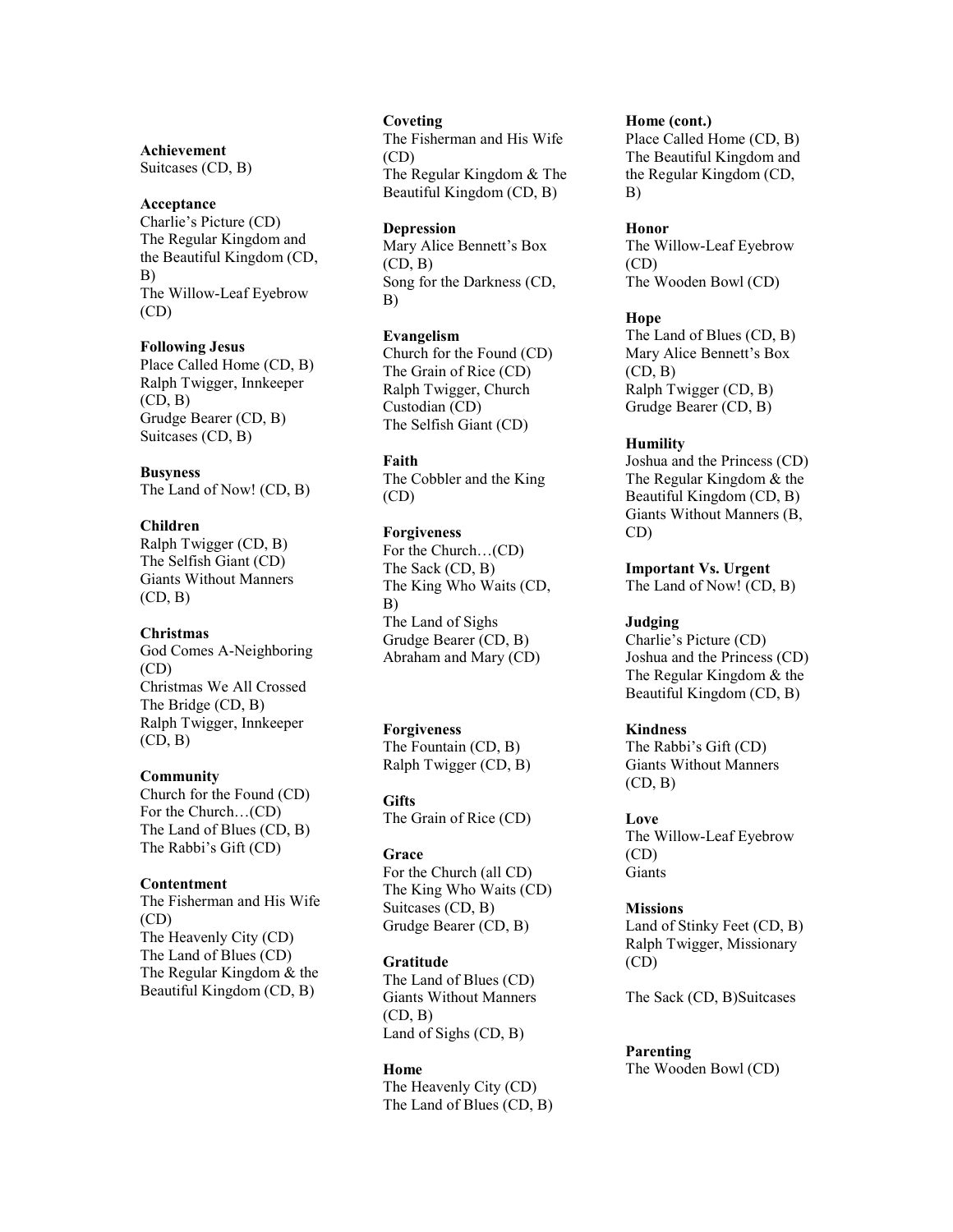# **Achievement**

Suitcases (CD, B)

### **Acceptance**

Charlie's Picture (CD) The Regular Kingdom and the Beautiful Kingdom (CD, B) The Willow-Leaf Eyebrow (CD)

#### **Following Jesus**

Place Called Home (CD, B) Ralph Twigger, Innkeeper  $(CD, B)$ Grudge Bearer (CD, B) Suitcases (CD, B)

#### **Busyness**

The Land of Now! (CD, B)

#### **Children**

Ralph Twigger (CD, B) The Selfish Giant (CD) Giants Without Manners  $(CD, B)$ 

### **Christmas**

God Comes A-Neighboring (CD) Christmas We All Crossed The Bridge (CD, B) Ralph Twigger, Innkeeper  $(CD, B)$ 

### **Community**

Church for the Found (CD) For the Church…(CD) The Land of Blues (CD, B) The Rabbi's Gift (CD)

### **Contentment**

The Fisherman and His Wife (CD) The Heavenly City (CD) The Land of Blues (CD) The Regular Kingdom & the Beautiful Kingdom (CD, B)

### **Coveting**

The Fisherman and His Wife (CD) The Regular Kingdom & The Beautiful Kingdom (CD, B)

#### **Depression**

Mary Alice Bennett's Box  $(CD, B)$ Song for the Darkness (CD, B)

#### **Evangelism**

Church for the Found (CD) The Grain of Rice (CD) Ralph Twigger, Church Custodian (CD) The Selfish Giant (CD)

### **Faith**

The Cobbler and the King (CD)

### **Forgiveness**

For the Church…(CD) The Sack (CD, B) The King Who Waits (CD, B) The Land of Sighs Grudge Bearer (CD, B) Abraham and Mary (CD)

### **Forgiveness**

The Fountain (CD, B) Ralph Twigger (CD, B)

**Gifts** The Grain of Rice (CD)

### **Grace**

For the Church (all CD) The King Who Waits (CD) Suitcases (CD, B) Grudge Bearer (CD, B)

#### **Gratitude**

The Land of Blues (CD) Giants Without Manners  $(CD, B)$ Land of Sighs (CD, B)

### **Home**

The Heavenly City (CD) The Land of Blues (CD, B)

#### **Home (cont.)**

Place Called Home (CD, B) The Beautiful Kingdom and the Regular Kingdom (CD, B)

#### **Honor**

The Willow-Leaf Eyebrow (CD) The Wooden Bowl (CD)

### **Hope**

The Land of Blues (CD, B) Mary Alice Bennett's Box  $(CD, B)$ Ralph Twigger (CD, B) Grudge Bearer (CD, B)

#### **Humility**

Joshua and the Princess (CD) The Regular Kingdom & the Beautiful Kingdom (CD, B) Giants Without Manners (B, CD)

**Important Vs. Urgent** The Land of Now! (CD, B)

### **Judging**

Charlie's Picture (CD) Joshua and the Princess (CD) The Regular Kingdom & the Beautiful Kingdom (CD, B)

### **Kindness**

The Rabbi's Gift (CD) Giants Without Manners  $(CD, B)$ 

### **Love**

The Willow-Leaf Eyebrow (CD) Giants

### **Missions**

Land of Stinky Feet (CD, B) Ralph Twigger, Missionary (CD)

The Sack (CD, B)Suitcases

### **Parenting**

The Wooden Bowl (CD)